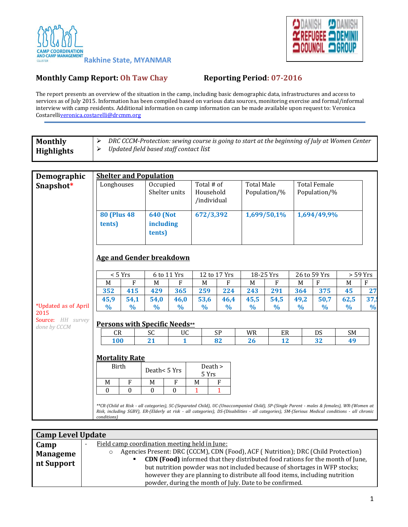



## **Monthly Camp Report: Oh Taw Chay <b>Reporting Period:** 07-2016

The report presents an overview of the situation in the camp, including basic demographic data, infrastructures and access to services as of July 2015. Information has been compiled based on various data sources, monitoring exercise and formal/informal interview with camp residents. Additional information on camp information can be made available upon request to: Veronica Costarell[iveronica.costarelli@drcmm.org](mailto:veronica.costarelli@drcmm.org)

| <b>Monthly</b>                                            | DRC CCCM-Protection: sewing course is going to start at the beginning of July at Women Center<br>➤                                                            |                |                           |                |                         |               |               |                                   |               |                     |               |               |  |
|-----------------------------------------------------------|---------------------------------------------------------------------------------------------------------------------------------------------------------------|----------------|---------------------------|----------------|-------------------------|---------------|---------------|-----------------------------------|---------------|---------------------|---------------|---------------|--|
| <b>Highlights</b>                                         | Updated field based staff contact list<br>➤                                                                                                                   |                |                           |                |                         |               |               |                                   |               |                     |               |               |  |
|                                                           |                                                                                                                                                               |                |                           |                |                         |               |               |                                   |               |                     |               |               |  |
|                                                           |                                                                                                                                                               |                |                           |                |                         |               |               |                                   |               |                     |               |               |  |
| Demographic                                               | <b>Shelter and Population</b>                                                                                                                                 |                |                           |                |                         |               |               |                                   |               |                     |               |               |  |
| Snapshot*                                                 | Longhouses                                                                                                                                                    |                | Occupied<br>Shelter units |                | Total # of<br>Household |               |               | <b>Total Male</b><br>Population/% |               | <b>Total Female</b> |               |               |  |
|                                                           |                                                                                                                                                               |                |                           |                | /individual             |               |               |                                   |               | Population/%        |               |               |  |
|                                                           |                                                                                                                                                               |                |                           |                |                         |               |               |                                   |               |                     |               |               |  |
|                                                           | <b>80 (Plus 48)</b>                                                                                                                                           |                | <b>640 (Not</b>           |                |                         | 672/3,392     |               | 1,699/50,1%                       |               | 1,694/49,9%         |               |               |  |
|                                                           | tents)                                                                                                                                                        |                | including                 |                |                         |               |               |                                   |               |                     |               |               |  |
|                                                           |                                                                                                                                                               |                |                           | tents)         |                         |               |               |                                   |               |                     |               |               |  |
|                                                           |                                                                                                                                                               |                |                           |                |                         |               |               |                                   |               |                     |               |               |  |
|                                                           |                                                                                                                                                               |                |                           |                |                         |               |               |                                   |               |                     |               |               |  |
|                                                           | <b>Age and Gender breakdown</b>                                                                                                                               |                |                           |                |                         |               |               |                                   |               |                     |               |               |  |
|                                                           | < 5 Yrs                                                                                                                                                       |                |                           | 6 to 11 Yrs    |                         | 12 to 17 Yrs  |               | 18-25 Yrs                         |               | 26 to 59 Yrs        |               | $> 59$ Yrs    |  |
|                                                           | M                                                                                                                                                             | F              | M                         | F              | M                       | F             | M             | F                                 | M             | $\mathbf{F}$        | M             | F             |  |
|                                                           | 352                                                                                                                                                           | 415            | 429                       | 365            | 259                     | 224           | 243           | 291                               | 364           | 375                 | 45            | 27            |  |
|                                                           | 45,9                                                                                                                                                          | 54,1           | 54,0                      | 46,0           | 53,6                    | 46,4          | 45,5          | 54,5                              | 49,2          | 50,7                | 62,5          | 37,           |  |
| *Updated as of April<br>2015                              | $\%$                                                                                                                                                          | $\frac{0}{0}$  | $\frac{0}{0}$             | $\%$           | $\frac{0}{0}$           | $\frac{0}{0}$ | $\frac{0}{0}$ | $\%$                              | $\frac{0}{0}$ | $\%$                | $\frac{0}{0}$ | $\frac{0}{0}$ |  |
| Source: HH survey<br><b>Persons with Specific Needs**</b> |                                                                                                                                                               |                |                           |                |                         |               |               |                                   |               |                     |               |               |  |
| done by CCCM                                              | CR                                                                                                                                                            |                | <b>SC</b><br>UC           |                |                         | SP            |               | ER                                |               | SM<br>DS            |               |               |  |
|                                                           | 100                                                                                                                                                           |                | 21                        | $\mathbf{1}$   |                         | 82            | WR<br>26      | 12                                |               | 32                  | 49            |               |  |
|                                                           |                                                                                                                                                               |                |                           |                |                         |               |               |                                   |               |                     |               |               |  |
|                                                           | <b>Mortality Rate</b>                                                                                                                                         |                |                           |                |                         |               |               |                                   |               |                     |               |               |  |
|                                                           | Birth                                                                                                                                                         |                | Death<5 Yrs               |                | Death >                 |               |               |                                   |               |                     |               |               |  |
|                                                           |                                                                                                                                                               |                |                           |                | 5 Yrs                   |               |               |                                   |               |                     |               |               |  |
|                                                           | M                                                                                                                                                             | F              | M                         | F              | M                       | F             |               |                                   |               |                     |               |               |  |
|                                                           | $\Omega$                                                                                                                                                      | $\overline{0}$ | $\Omega$                  | $\overline{0}$ | 1                       | $\mathbf{1}$  |               |                                   |               |                     |               |               |  |
|                                                           | **CR-(Child at Risk - all categories), SC-(Separated Child), UC-(Unaccompanied Child), SP-(Single Parent - males & females), WR-(Women at                     |                |                           |                |                         |               |               |                                   |               |                     |               |               |  |
|                                                           | Risk, including SGBV), ER-(Elderly at risk - all categories), DS-(Disabilities - all categories), SM-(Serious Medical conditions - all chronic<br>conditions) |                |                           |                |                         |               |               |                                   |               |                     |               |               |  |
|                                                           |                                                                                                                                                               |                |                           |                |                         |               |               |                                   |               |                     |               |               |  |

| <b>Camp Level Update</b> |                                                                                      |  |  |  |
|--------------------------|--------------------------------------------------------------------------------------|--|--|--|
| Camp                     | Field camp coordination meeting held in June:                                        |  |  |  |
| <b>Manageme</b>          | Agencies Present: DRC (CCCM), CDN (Food), ACF (Nutrition); DRC (Child Protection)    |  |  |  |
| nt Support               | <b>CDN (Food)</b> informed that they distributed food rations for the month of June, |  |  |  |
|                          | but nutrition powder was not included because of shortages in WFP stocks;            |  |  |  |
|                          | however they are planning to distribute all food items, including nutrition          |  |  |  |
|                          | powder, during the month of July. Date to be confirmed.                              |  |  |  |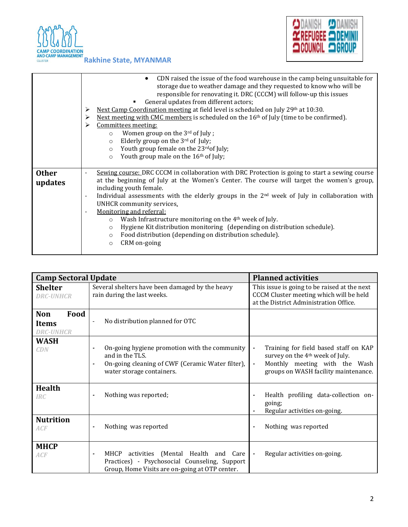



|                         | CDN raised the issue of the food warehouse in the camp being unsuitable for<br>storage due to weather damage and they requested to know who will be<br>responsible for renovating it. DRC (CCCM) will follow-up this issues<br>General updates from different actors;<br>Next Camp Coordination meeting at field level is scheduled on July 29th at 10:30.<br>➤<br>Next meeting with CMC members is scheduled on the $16th$ of July (time to be confirmed).<br>⋗<br>Committees meeting:<br>⋗<br>Women group on the $3rd$ of July;<br>$\circ$<br>Elderly group on the 3rd of July;<br>$\circ$<br>Youth group female on the 23 <sup>rd</sup> of July;<br>$\circ$<br>Youth group male on the 16 <sup>th</sup> of July;<br>$\circ$ |
|-------------------------|--------------------------------------------------------------------------------------------------------------------------------------------------------------------------------------------------------------------------------------------------------------------------------------------------------------------------------------------------------------------------------------------------------------------------------------------------------------------------------------------------------------------------------------------------------------------------------------------------------------------------------------------------------------------------------------------------------------------------------|
| <b>Other</b><br>updates | Sewing course: DRC CCCM in collaboration with DRC Protection is going to start a sewing course<br>at the beginning of July at the Women's Center. The course will target the women's group,<br>including youth female.<br>Individual assessments with the elderly groups in the 2 <sup>nd</sup> week of July in collaboration with<br>$\overline{\phantom{a}}$<br>UNHCR community services.<br>Monitoring and referral:<br>Wash Infrastructure monitoring on the 4 <sup>th</sup> week of July.<br>$\circ$<br>Hygiene Kit distribution monitoring (depending on distribution schedule).<br>$\circ$<br>Food distribution (depending on distribution schedule).<br>$\circ$<br>CRM on-going<br>$\circ$                             |

| <b>Camp Sectoral Update</b>                            |                                                                                                                                                                                                     | <b>Planned activities</b>                                                                                                                                                                         |  |  |  |
|--------------------------------------------------------|-----------------------------------------------------------------------------------------------------------------------------------------------------------------------------------------------------|---------------------------------------------------------------------------------------------------------------------------------------------------------------------------------------------------|--|--|--|
| <b>Shelter</b><br><b>DRC-UNHCR</b>                     | Several shelters have been damaged by the heavy<br>rain during the last weeks.                                                                                                                      | This issue is going to be raised at the next<br>CCCM Cluster meeting which will be held<br>at the District Administration Office.                                                                 |  |  |  |
| <b>Non</b><br>Food<br><b>Items</b><br><b>DRC-UNHCR</b> | No distribution planned for OTC<br>$\overline{\phantom{a}}$                                                                                                                                         |                                                                                                                                                                                                   |  |  |  |
| <b>WASH</b><br>CDN                                     | On-going hygiene promotion with the community<br>$\tilde{\phantom{a}}$<br>and in the TLS.<br>On-going cleaning of CWF (Ceramic Water filter),<br>$\tilde{\phantom{a}}$<br>water storage containers. | Training for field based staff on KAP<br>$\blacksquare$<br>survey on the 4 <sup>th</sup> week of July.<br>Monthly meeting with the Wash<br>$\blacksquare$<br>groups on WASH facility maintenance. |  |  |  |
| <b>Health</b><br><b>IRC</b>                            | Nothing was reported;                                                                                                                                                                               | Health profiling data-collection on-<br>going;<br>Regular activities on-going.                                                                                                                    |  |  |  |
| <b>Nutrition</b><br>ACF                                | Nothing was reported<br>$\overline{\phantom{a}}$                                                                                                                                                    | Nothing was reported<br>$\tilde{\phantom{a}}$                                                                                                                                                     |  |  |  |
| <b>MHCP</b><br>ACF                                     | MHCP activities (Mental Health and Care<br>$\overline{\phantom{a}}$<br>Practices) - Psychosocial Counseling, Support<br>Group, Home Visits are on-going at OTP center.                              | Regular activities on-going.<br>$\blacksquare$                                                                                                                                                    |  |  |  |